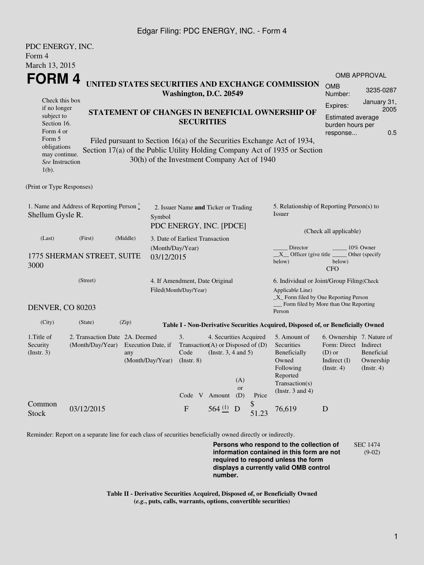## Edgar Filing: PDC ENERGY, INC. - Form 4

| PDC ENERGY, INC.                                                                                 |                                |                         |                                                      |                                                                 |  |                        |                       |             |                                                                                           |                                     |                  |  |
|--------------------------------------------------------------------------------------------------|--------------------------------|-------------------------|------------------------------------------------------|-----------------------------------------------------------------|--|------------------------|-----------------------|-------------|-------------------------------------------------------------------------------------------|-------------------------------------|------------------|--|
| Form 4                                                                                           |                                |                         |                                                      |                                                                 |  |                        |                       |             |                                                                                           |                                     |                  |  |
| March 13, 2015                                                                                   |                                |                         |                                                      |                                                                 |  |                        |                       |             |                                                                                           |                                     |                  |  |
| FORM 4                                                                                           |                                |                         |                                                      |                                                                 |  |                        |                       |             | <b>OMB APPROVAL</b>                                                                       |                                     |                  |  |
| UNITED STATES SECURITIES AND EXCHANGE COMMISSION<br>Washington, D.C. 20549                       |                                |                         |                                                      |                                                                 |  |                        | <b>OMB</b><br>Number: | 3235-0287   |                                                                                           |                                     |                  |  |
| Check this box                                                                                   |                                |                         |                                                      |                                                                 |  |                        |                       |             |                                                                                           | Expires:                            | January 31,      |  |
| if no longer<br>subject to                                                                       |                                |                         |                                                      | STATEMENT OF CHANGES IN BENEFICIAL OWNERSHIP OF                 |  |                        |                       |             |                                                                                           | 2005<br>Estimated average           |                  |  |
| Section 16.                                                                                      |                                |                         |                                                      | <b>SECURITIES</b>                                               |  |                        |                       |             |                                                                                           | burden hours per<br>0.5<br>response |                  |  |
| Form 4 or                                                                                        |                                |                         |                                                      |                                                                 |  |                        |                       |             |                                                                                           |                                     |                  |  |
| Form 5<br>obligations                                                                            |                                |                         |                                                      |                                                                 |  |                        |                       |             | Filed pursuant to Section 16(a) of the Securities Exchange Act of 1934,                   |                                     |                  |  |
| may continue.                                                                                    |                                |                         |                                                      |                                                                 |  |                        |                       |             | Section 17(a) of the Public Utility Holding Company Act of 1935 or Section                |                                     |                  |  |
| See Instruction<br>$1(b)$ .                                                                      |                                |                         | 30(h) of the Investment Company Act of 1940          |                                                                 |  |                        |                       |             |                                                                                           |                                     |                  |  |
| (Print or Type Responses)                                                                        |                                |                         |                                                      |                                                                 |  |                        |                       |             |                                                                                           |                                     |                  |  |
| 1. Name and Address of Reporting Person $\stackrel{*}{\mathbb{L}}$<br>Shellum Gysle R.<br>Symbol |                                |                         |                                                      | 2. Issuer Name and Ticker or Trading<br>PDC ENERGY, INC. [PDCE] |  |                        |                       |             | 5. Relationship of Reporting Person(s) to<br>Issuer                                       |                                     |                  |  |
|                                                                                                  |                                |                         |                                                      |                                                                 |  |                        |                       |             |                                                                                           | (Check all applicable)              |                  |  |
| (Middle)<br>(Last)<br>(First)                                                                    |                                |                         |                                                      | 3. Date of Earliest Transaction                                 |  |                        |                       |             |                                                                                           | 10% Owner                           |                  |  |
|                                                                                                  | 1775 SHERMAN STREET, SUITE     |                         | (Month/Day/Year)<br>03/12/2015                       |                                                                 |  |                        |                       |             | Director<br>$X$ Officer (give title $\overline{\phantom{a}}$                              |                                     | Other (specify   |  |
| 3000                                                                                             |                                |                         |                                                      |                                                                 |  |                        |                       |             | below)                                                                                    | below)<br><b>CFO</b>                |                  |  |
| (Street)                                                                                         |                                |                         |                                                      | 4. If Amendment, Date Original                                  |  |                        |                       |             | 6. Individual or Joint/Group Filing(Check                                                 |                                     |                  |  |
|                                                                                                  |                                |                         |                                                      | Filed(Month/Day/Year)                                           |  |                        |                       |             | Applicable Line)                                                                          |                                     |                  |  |
| <b>DENVER, CO 80203</b>                                                                          |                                |                         |                                                      |                                                                 |  |                        |                       |             | _X_ Form filed by One Reporting Person<br>Form filed by More than One Reporting<br>Person |                                     |                  |  |
| (City)                                                                                           | (State)                        | (Zip)                   |                                                      |                                                                 |  |                        |                       |             | Table I - Non-Derivative Securities Acquired, Disposed of, or Beneficially Owned          |                                     |                  |  |
| 1. Title of                                                                                      | 2. Transaction Date 2A. Deemed |                         |                                                      | 3.                                                              |  | 4. Securities Acquired |                       |             | 5. Amount of                                                                              | 6. Ownership 7. Nature of           |                  |  |
| Security<br>(Insert. 3)                                                                          | (Month/Day/Year)               | Execution Date, if      |                                                      | Transaction(A) or Disposed of $(D)$                             |  |                        |                       |             | Securities                                                                                | Form: Direct Indirect<br>$(D)$ or   | Beneficial       |  |
|                                                                                                  |                                | any<br>(Month/Day/Year) | Code<br>(Instr. $3, 4$ and $5$ )<br>$($ Instr. 8 $)$ |                                                                 |  |                        |                       |             | Beneficially<br>Owned                                                                     | Indirect $(I)$                      | Ownership        |  |
|                                                                                                  |                                |                         |                                                      |                                                                 |  |                        |                       |             | Following                                                                                 | (Insert. 4)                         | $($ Instr. 4 $)$ |  |
|                                                                                                  |                                |                         |                                                      |                                                                 |  |                        | (A)                   |             | Reported                                                                                  |                                     |                  |  |
|                                                                                                  |                                |                         |                                                      |                                                                 |  |                        | or                    |             | Transaction(s)<br>(Instr. $3$ and $4$ )                                                   |                                     |                  |  |
|                                                                                                  |                                |                         |                                                      | Code V Amount                                                   |  |                        | (D)                   | Price       |                                                                                           |                                     |                  |  |
| Common<br><b>Stock</b>                                                                           | 03/12/2015                     |                         |                                                      | ${\bf F}$                                                       |  | 564 $(1)$ D            |                       | \$<br>51.23 | 76,619                                                                                    | D                                   |                  |  |

Reminder: Report on a separate line for each class of securities beneficially owned directly or indirectly.

**Persons who respond to the collection of information contained in this form are not required to respond unless the form displays a currently valid OMB control number.** SEC 1474 (9-02)

**Table II - Derivative Securities Acquired, Disposed of, or Beneficially Owned (***e.g.***, puts, calls, warrants, options, convertible securities)**